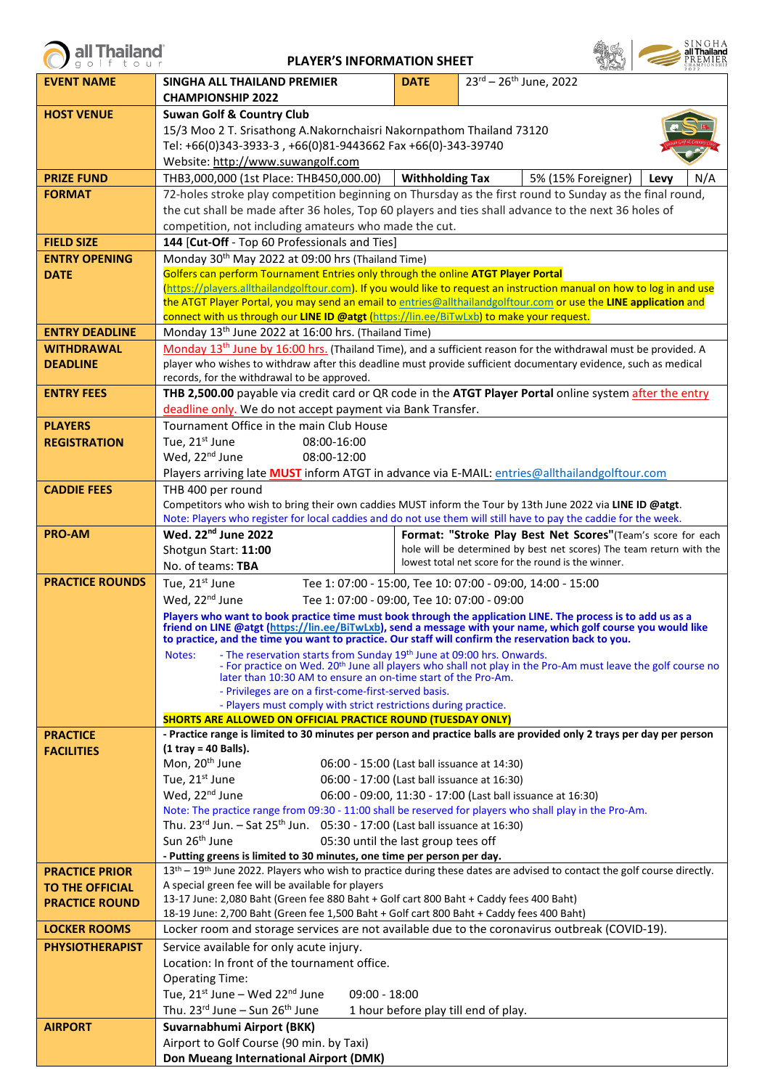| <b>EVENT NAME</b>      | SINGHA ALL THAILAND PREMIER                                                                                                                                                                                                                                              | <b>DATE</b>            | $23^{\text{rd}} - 26^{\text{th}}$ June, 2022                                                                                                                                                                                   |  |  |  |  |  |
|------------------------|--------------------------------------------------------------------------------------------------------------------------------------------------------------------------------------------------------------------------------------------------------------------------|------------------------|--------------------------------------------------------------------------------------------------------------------------------------------------------------------------------------------------------------------------------|--|--|--|--|--|
|                        | <b>CHAMPIONSHIP 2022</b>                                                                                                                                                                                                                                                 |                        |                                                                                                                                                                                                                                |  |  |  |  |  |
| <b>HOST VENUE</b>      | <b>Suwan Golf &amp; Country Club</b>                                                                                                                                                                                                                                     |                        |                                                                                                                                                                                                                                |  |  |  |  |  |
|                        | 15/3 Moo 2 T. Srisathong A.Nakornchaisri Nakornpathom Thailand 73120                                                                                                                                                                                                     |                        |                                                                                                                                                                                                                                |  |  |  |  |  |
|                        | Tel: +66(0)343-3933-3, +66(0)81-9443662 Fax +66(0)-343-39740                                                                                                                                                                                                             |                        |                                                                                                                                                                                                                                |  |  |  |  |  |
|                        | Website: http://www.suwangolf.com                                                                                                                                                                                                                                        |                        |                                                                                                                                                                                                                                |  |  |  |  |  |
| <b>PRIZE FUND</b>      | THB3,000,000 (1st Place: THB450,000.00)                                                                                                                                                                                                                                  | <b>Withholding Tax</b> | 5% (15% Foreigner)<br>N/A<br>Levy                                                                                                                                                                                              |  |  |  |  |  |
| <b>FORMAT</b>          |                                                                                                                                                                                                                                                                          |                        | 72-holes stroke play competition beginning on Thursday as the first round to Sunday as the final round,                                                                                                                        |  |  |  |  |  |
|                        | the cut shall be made after 36 holes, Top 60 players and ties shall advance to the next 36 holes of                                                                                                                                                                      |                        |                                                                                                                                                                                                                                |  |  |  |  |  |
|                        | competition, not including amateurs who made the cut.                                                                                                                                                                                                                    |                        |                                                                                                                                                                                                                                |  |  |  |  |  |
| <b>FIELD SIZE</b>      | 144 [Cut-Off - Top 60 Professionals and Ties]                                                                                                                                                                                                                            |                        |                                                                                                                                                                                                                                |  |  |  |  |  |
| <b>ENTRY OPENING</b>   | Monday 30 <sup>th</sup> May 2022 at 09:00 hrs (Thailand Time)                                                                                                                                                                                                            |                        |                                                                                                                                                                                                                                |  |  |  |  |  |
| <b>DATE</b>            | Golfers can perform Tournament Entries only through the online ATGT Player Portal                                                                                                                                                                                        |                        |                                                                                                                                                                                                                                |  |  |  |  |  |
|                        |                                                                                                                                                                                                                                                                          |                        | (https://players.allthailandgolftour.com). If you would like to request an instruction manual on how to log in and use                                                                                                         |  |  |  |  |  |
|                        | the ATGT Player Portal, you may send an email to entries@allthailandgolftour.com or use the LINE application and<br>connect with us through our LINE ID @atgt (https://lin.ee/BiTwLxb) to make your request.                                                             |                        |                                                                                                                                                                                                                                |  |  |  |  |  |
| <b>ENTRY DEADLINE</b>  | Monday 13 <sup>th</sup> June 2022 at 16:00 hrs. (Thailand Time)                                                                                                                                                                                                          |                        |                                                                                                                                                                                                                                |  |  |  |  |  |
| <b>WITHDRAWAL</b>      |                                                                                                                                                                                                                                                                          |                        | Monday 13 <sup>th</sup> June by 16:00 hrs. (Thailand Time), and a sufficient reason for the withdrawal must be provided. A                                                                                                     |  |  |  |  |  |
| <b>DEADLINE</b>        |                                                                                                                                                                                                                                                                          |                        | player who wishes to withdraw after this deadline must provide sufficient documentary evidence, such as medical                                                                                                                |  |  |  |  |  |
|                        | records, for the withdrawal to be approved.                                                                                                                                                                                                                              |                        |                                                                                                                                                                                                                                |  |  |  |  |  |
| <b>ENTRY FEES</b>      |                                                                                                                                                                                                                                                                          |                        | THB 2,500.00 payable via credit card or QR code in the ATGT Player Portal online system after the entry                                                                                                                        |  |  |  |  |  |
|                        | deadline only. We do not accept payment via Bank Transfer.                                                                                                                                                                                                               |                        |                                                                                                                                                                                                                                |  |  |  |  |  |
| <b>PLAYERS</b>         | Tournament Office in the main Club House                                                                                                                                                                                                                                 |                        |                                                                                                                                                                                                                                |  |  |  |  |  |
| <b>REGISTRATION</b>    | Tue, 21 <sup>st</sup> June<br>08:00-16:00                                                                                                                                                                                                                                |                        |                                                                                                                                                                                                                                |  |  |  |  |  |
|                        | Wed, 22 <sup>nd</sup> June<br>08:00-12:00                                                                                                                                                                                                                                |                        |                                                                                                                                                                                                                                |  |  |  |  |  |
|                        | Players arriving late <b>MUST</b> inform ATGT in advance via E-MAIL: entries@allthailandgolftour.com                                                                                                                                                                     |                        |                                                                                                                                                                                                                                |  |  |  |  |  |
| <b>CADDIE FEES</b>     | THB 400 per round                                                                                                                                                                                                                                                        |                        |                                                                                                                                                                                                                                |  |  |  |  |  |
|                        | Competitors who wish to bring their own caddies MUST inform the Tour by 13th June 2022 via LINE ID @atgt.                                                                                                                                                                |                        |                                                                                                                                                                                                                                |  |  |  |  |  |
|                        | Note: Players who register for local caddies and do not use them will still have to pay the caddie for the week.                                                                                                                                                         |                        |                                                                                                                                                                                                                                |  |  |  |  |  |
| <b>PRO-AM</b>          | Wed. 22 <sup>nd</sup> June 2022                                                                                                                                                                                                                                          |                        | Format: "Stroke Play Best Net Scores"(Team's score for each                                                                                                                                                                    |  |  |  |  |  |
|                        | Shotgun Start: 11:00                                                                                                                                                                                                                                                     |                        | hole will be determined by best net scores) The team return with the<br>lowest total net score for the round is the winner.                                                                                                    |  |  |  |  |  |
|                        | No. of teams: TBA                                                                                                                                                                                                                                                        |                        |                                                                                                                                                                                                                                |  |  |  |  |  |
| <b>PRACTICE ROUNDS</b> | Tue, 21 <sup>st</sup> June                                                                                                                                                                                                                                               |                        | Tee 1: 07:00 - 15:00, Tee 10: 07:00 - 09:00, 14:00 - 15:00                                                                                                                                                                     |  |  |  |  |  |
|                        | Wed, 22 <sup>nd</sup> June<br>Tee 1: 07:00 - 09:00, Tee 10: 07:00 - 09:00                                                                                                                                                                                                |                        |                                                                                                                                                                                                                                |  |  |  |  |  |
|                        | to practice, and the time you want to practice. Our staff will confirm the reservation back to you.                                                                                                                                                                      |                        | Players who want to book practice time must book through the application LINE. The process is to add us as a<br>friend on LINE @atgt (https://lin.ee/BiTwLxb), send a message with your name, which golf course you would like |  |  |  |  |  |
|                        | Notes: - The reservation starts from Sunday 19th June at 09:00 hrs. Onwards.<br>- For practice on Wed. 20 <sup>th</sup> June all players who shall not play in the Pro-Am must leave the golf course no<br>later than 10:30 AM to ensure an on-time start of the Pro-Am. |                        |                                                                                                                                                                                                                                |  |  |  |  |  |
|                        | - Privileges are on a first-come-first-served basis.                                                                                                                                                                                                                     |                        |                                                                                                                                                                                                                                |  |  |  |  |  |
|                        | - Players must comply with strict restrictions during practice.                                                                                                                                                                                                          |                        |                                                                                                                                                                                                                                |  |  |  |  |  |
|                        | <b>SHORTS ARE ALLOWED ON OFFICIAL PRACTICE ROUND (TUESDAY ONLY)</b>                                                                                                                                                                                                      |                        |                                                                                                                                                                                                                                |  |  |  |  |  |
| <b>PRACTICE</b>        | $(1$ tray = 40 Balls).                                                                                                                                                                                                                                                   |                        | - Practice range is limited to 30 minutes per person and practice balls are provided only 2 trays per day per person                                                                                                           |  |  |  |  |  |
| <b>FACILITIES</b>      | Mon, 20 <sup>th</sup> June<br>06:00 - 15:00 (Last ball issuance at 14:30)                                                                                                                                                                                                |                        |                                                                                                                                                                                                                                |  |  |  |  |  |
|                        | Tue, 21st June<br>06:00 - 17:00 (Last ball issuance at 16:30)                                                                                                                                                                                                            |                        |                                                                                                                                                                                                                                |  |  |  |  |  |
|                        | Wed, 22 <sup>nd</sup> June                                                                                                                                                                                                                                               |                        | 06:00 - 09:00, 11:30 - 17:00 (Last ball issuance at 16:30)                                                                                                                                                                     |  |  |  |  |  |
|                        | Note: The practice range from 09:30 - 11:00 shall be reserved for players who shall play in the Pro-Am.                                                                                                                                                                  |                        |                                                                                                                                                                                                                                |  |  |  |  |  |
|                        | Thu. 23 <sup>rd</sup> Jun. - Sat 25 <sup>th</sup> Jun. 05:30 - 17:00 (Last ball issuance at 16:30)                                                                                                                                                                       |                        |                                                                                                                                                                                                                                |  |  |  |  |  |
|                        | Sun 26 <sup>th</sup> June<br>05:30 until the last group tees off                                                                                                                                                                                                         |                        |                                                                                                                                                                                                                                |  |  |  |  |  |
|                        | - Putting greens is limited to 30 minutes, one time per person per day.                                                                                                                                                                                                  |                        |                                                                                                                                                                                                                                |  |  |  |  |  |
| <b>PRACTICE PRIOR</b>  |                                                                                                                                                                                                                                                                          |                        | 13 <sup>th</sup> – 19 <sup>th</sup> June 2022. Players who wish to practice during these dates are advised to contact the golf course directly.                                                                                |  |  |  |  |  |
| <b>TO THE OFFICIAL</b> | A special green fee will be available for players                                                                                                                                                                                                                        |                        |                                                                                                                                                                                                                                |  |  |  |  |  |
| <b>PRACTICE ROUND</b>  | 13-17 June: 2,080 Baht (Green fee 880 Baht + Golf cart 800 Baht + Caddy fees 400 Baht)                                                                                                                                                                                   |                        |                                                                                                                                                                                                                                |  |  |  |  |  |
| <b>LOCKER ROOMS</b>    | 18-19 June: 2,700 Baht (Green fee 1,500 Baht + Golf cart 800 Baht + Caddy fees 400 Baht)<br>Locker room and storage services are not available due to the coronavirus outbreak (COVID-19).                                                                               |                        |                                                                                                                                                                                                                                |  |  |  |  |  |
| <b>PHYSIOTHERAPIST</b> | Service available for only acute injury.                                                                                                                                                                                                                                 |                        |                                                                                                                                                                                                                                |  |  |  |  |  |
|                        | Location: In front of the tournament office.                                                                                                                                                                                                                             |                        |                                                                                                                                                                                                                                |  |  |  |  |  |
|                        | <b>Operating Time:</b>                                                                                                                                                                                                                                                   |                        |                                                                                                                                                                                                                                |  |  |  |  |  |
|                        | Tue, 21 <sup>st</sup> June - Wed 22 <sup>nd</sup> June<br>$09:00 - 18:00$                                                                                                                                                                                                |                        |                                                                                                                                                                                                                                |  |  |  |  |  |
|                        | Thu. 23rd June - Sun 26 <sup>th</sup> June                                                                                                                                                                                                                               |                        | 1 hour before play till end of play.                                                                                                                                                                                           |  |  |  |  |  |
| <b>AIRPORT</b>         | Suvarnabhumi Airport (BKK)                                                                                                                                                                                                                                               |                        |                                                                                                                                                                                                                                |  |  |  |  |  |
|                        |                                                                                                                                                                                                                                                                          |                        |                                                                                                                                                                                                                                |  |  |  |  |  |

Airport to Golf Course (90 min. by Taxi) **Don Mueang International Airport (DMK)**

**PLAYER'S INFORMATION SHEET**

all Thailand

SINGHA<br> **all Thailand**<br>
PREMIER

 $\epsilon$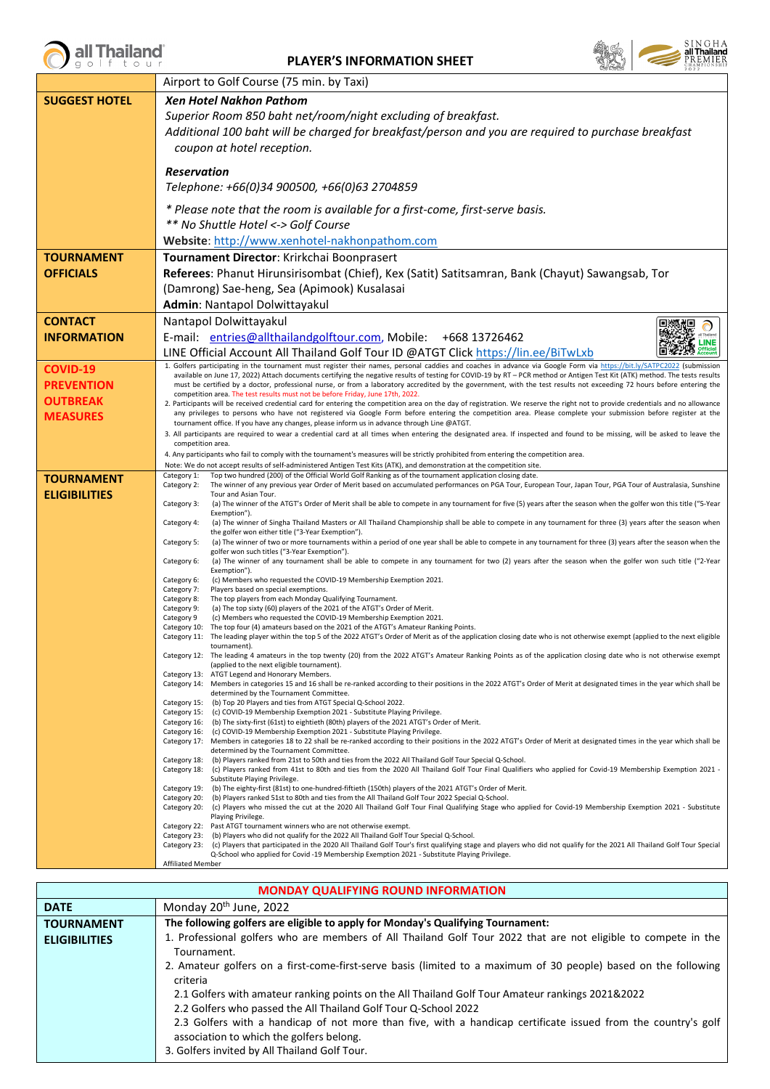all Thailand

**PLAYER'S INFORMATION SHEET**



|                      | Airport to Golf Course (75 min. by Taxi)                                                                                                                                                                                                                                                                                                              |  |  |  |
|----------------------|-------------------------------------------------------------------------------------------------------------------------------------------------------------------------------------------------------------------------------------------------------------------------------------------------------------------------------------------------------|--|--|--|
| <b>SUGGEST HOTEL</b> | <b>Xen Hotel Nakhon Pathom</b>                                                                                                                                                                                                                                                                                                                        |  |  |  |
|                      | Superior Room 850 baht net/room/night excluding of breakfast.                                                                                                                                                                                                                                                                                         |  |  |  |
|                      | Additional 100 baht will be charged for breakfast/person and you are required to purchase breakfast                                                                                                                                                                                                                                                   |  |  |  |
|                      | coupon at hotel reception.                                                                                                                                                                                                                                                                                                                            |  |  |  |
|                      |                                                                                                                                                                                                                                                                                                                                                       |  |  |  |
|                      | <b>Reservation</b>                                                                                                                                                                                                                                                                                                                                    |  |  |  |
|                      | Telephone: +66(0)34 900500, +66(0)63 2704859                                                                                                                                                                                                                                                                                                          |  |  |  |
|                      | * Please note that the room is available for a first-come, first-serve basis.                                                                                                                                                                                                                                                                         |  |  |  |
|                      | ** No Shuttle Hotel <-> Golf Course                                                                                                                                                                                                                                                                                                                   |  |  |  |
|                      | Website: http://www.xenhotel-nakhonpathom.com                                                                                                                                                                                                                                                                                                         |  |  |  |
| <b>TOURNAMENT</b>    | Tournament Director: Krirkchai Boonprasert                                                                                                                                                                                                                                                                                                            |  |  |  |
| <b>OFFICIALS</b>     | Referees: Phanut Hirunsirisombat (Chief), Kex (Satit) Satitsamran, Bank (Chayut) Sawangsab, Tor                                                                                                                                                                                                                                                       |  |  |  |
|                      | (Damrong) Sae-heng, Sea (Apimook) Kusalasai                                                                                                                                                                                                                                                                                                           |  |  |  |
|                      | Admin: Nantapol Dolwittayakul                                                                                                                                                                                                                                                                                                                         |  |  |  |
| <b>CONTACT</b>       | Nantapol Dolwittayakul                                                                                                                                                                                                                                                                                                                                |  |  |  |
| <b>INFORMATION</b>   | E-mail: entries@allthailandgolftour.com, Mobile: +668 13726462                                                                                                                                                                                                                                                                                        |  |  |  |
|                      | <b>LINE</b><br>LINE Official Account All Thailand Golf Tour ID @ATGT Click https://lin.ee/BiTwLxb                                                                                                                                                                                                                                                     |  |  |  |
| <b>COVID-19</b>      | 1. Golfers participating in the tournament must register their names, personal caddies and coaches in advance via Google Form via https://bit.ly/SATPC2022 (submission                                                                                                                                                                                |  |  |  |
| <b>PREVENTION</b>    | available on June 17, 2022) Attach documents certifying the negative results of testing for COVID-19 by RT - PCR method or Antigen Test Kit (ATK) method. The tests results<br>must be certified by a doctor, professional nurse, or from a laboratory accredited by the government, with the test results not exceeding 72 hours before entering the |  |  |  |
| <b>OUTBREAK</b>      | competition area. The test results must not be before Friday, June 17th, 2022.                                                                                                                                                                                                                                                                        |  |  |  |
| <b>MEASURES</b>      | 2. Participants will be received credential card for entering the competition area on the day of registration. We reserve the right not to provide credentials and no allowance<br>any privileges to persons who have not registered via Google Form before entering the competition area. Please complete your submission before register at the     |  |  |  |
|                      | tournament office. If you have any changes, please inform us in advance through Line @ATGT.                                                                                                                                                                                                                                                           |  |  |  |
|                      | 3. All participants are required to wear a credential card at all times when entering the designated area. If inspected and found to be missing, will be asked to leave the<br>competition area.                                                                                                                                                      |  |  |  |
|                      | 4. Any participants who fail to comply with the tournament's measures will be strictly prohibited from entering the competition area.                                                                                                                                                                                                                 |  |  |  |
| <b>TOURNAMENT</b>    | Note: We do not accept results of self-administered Antigen Test Kits (ATK), and demonstration at the competition site.<br>Top two hundred (200) of the Official World Golf Ranking as of the tournament application closing date.<br>Category 1:                                                                                                     |  |  |  |
| <b>ELIGIBILITIES</b> | Category 2:<br>The winner of any previous year Order of Merit based on accumulated performances on PGA Tour, European Tour, Japan Tour, PGA Tour of Australasia, Sunshine<br>Tour and Asian Tour.                                                                                                                                                     |  |  |  |
|                      | Category 3:<br>(a) The winner of the ATGT's Order of Merit shall be able to compete in any tournament for five (5) years after the season when the golfer won this title ("5-Year                                                                                                                                                                     |  |  |  |
|                      | Exemption").<br>(a) The winner of Singha Thailand Masters or All Thailand Championship shall be able to compete in any tournament for three (3) years after the season when<br>Category 4:                                                                                                                                                            |  |  |  |
|                      | the golfer won either title ("3-Year Exemption").<br>(a) The winner of two or more tournaments within a period of one year shall be able to compete in any tournament for three (3) years after the season when the<br>Category 5:                                                                                                                    |  |  |  |
|                      | golfer won such titles ("3-Year Exemption").                                                                                                                                                                                                                                                                                                          |  |  |  |
|                      | (a) The winner of any tournament shall be able to compete in any tournament for two (2) years after the season when the golfer won such title ("2-Year<br>Category 6:<br>Exemption").                                                                                                                                                                 |  |  |  |
|                      | Category 6:<br>(c) Members who requested the COVID-19 Membership Exemption 2021.<br>Category 7:<br>Players based on special exemptions.                                                                                                                                                                                                               |  |  |  |
|                      | Category 8:<br>The top players from each Monday Qualifying Tournament.                                                                                                                                                                                                                                                                                |  |  |  |
|                      | Category 9:<br>(a) The top sixty (60) players of the 2021 of the ATGT's Order of Merit.<br>Category 9<br>(c) Members who requested the COVID-19 Membership Exemption 2021.                                                                                                                                                                            |  |  |  |
|                      | Category 10:<br>The top four (4) amateurs based on the 2021 of the ATGT's Amateur Ranking Points.<br>The leading player within the top 5 of the 2022 ATGT's Order of Merit as of the application closing date who is not otherwise exempt (applied to the next eligible                                                                               |  |  |  |
|                      | Category 11:<br>tournament).                                                                                                                                                                                                                                                                                                                          |  |  |  |
|                      | The leading 4 amateurs in the top twenty (20) from the 2022 ATGT's Amateur Ranking Points as of the application closing date who is not otherwise exempt<br>Category 12:<br>(applied to the next eligible tournament).                                                                                                                                |  |  |  |
|                      | Category 13: ATGT Legend and Honorary Members.                                                                                                                                                                                                                                                                                                        |  |  |  |
|                      | Category 14: Members in categories 15 and 16 shall be re-ranked according to their positions in the 2022 ATGT's Order of Merit at designated times in the year which shall be<br>determined by the Tournament Committee.                                                                                                                              |  |  |  |
|                      | Category 15:<br>(b) Top 20 Players and ties from ATGT Special Q-School 2022.<br>Category 15:<br>(c) COVID-19 Membership Exemption 2021 - Substitute Playing Privilege.                                                                                                                                                                                |  |  |  |
|                      | Category 16:<br>(b) The sixty-first (61st) to eightieth (80th) players of the 2021 ATGT's Order of Merit.                                                                                                                                                                                                                                             |  |  |  |
|                      | Category 16:<br>(c) COVID-19 Membership Exemption 2021 - Substitute Playing Privilege.<br>Category 17: Members in categories 18 to 22 shall be re-ranked according to their positions in the 2022 ATGT's Order of Merit at designated times in the year which shall be                                                                                |  |  |  |
|                      | determined by the Tournament Committee.<br>Category 18:<br>(b) Players ranked from 21st to 50th and ties from the 2022 All Thailand Golf Tour Special Q-School.                                                                                                                                                                                       |  |  |  |
|                      | (c) Players ranked from 41st to 80th and ties from the 2020 All Thailand Golf Tour Final Qualifiers who applied for Covid-19 Membership Exemption 2021 -<br>Category 18:                                                                                                                                                                              |  |  |  |
|                      | Substitute Playing Privilege.<br>Category 19:<br>(b) The eighty-first (81st) to one-hundred-fiftieth (150th) players of the 2021 ATGT's Order of Merit.                                                                                                                                                                                               |  |  |  |
|                      | Category 20:<br>(b) Players ranked 51st to 80th and ties from the All Thailand Golf Tour 2022 Special Q-School.<br>(c) Players who missed the cut at the 2020 All Thailand Golf Tour Final Qualifying Stage who applied for Covid-19 Membership Exemption 2021 - Substitute                                                                           |  |  |  |
|                      | Category 20:<br>Playing Privilege.                                                                                                                                                                                                                                                                                                                    |  |  |  |
|                      | Past ATGT tournament winners who are not otherwise exempt.<br>Category 22:<br>(b) Players who did not qualify for the 2022 All Thailand Golf Tour Special Q-School.<br>Category 23:                                                                                                                                                                   |  |  |  |
|                      | Category 23:<br>(c) Players that participated in the 2020 All Thailand Golf Tour's first qualifying stage and players who did not qualify for the 2021 All Thailand Golf Tour Special                                                                                                                                                                 |  |  |  |
|                      | Q-School who applied for Covid -19 Membership Exemption 2021 - Substitute Playing Privilege.<br><b>Affiliated Member</b>                                                                                                                                                                                                                              |  |  |  |

| <b>MONDAY QUALIFYING ROUND INFORMATION</b> |                                                                                                                                                                                                                                                                                                                                                                                   |  |  |  |
|--------------------------------------------|-----------------------------------------------------------------------------------------------------------------------------------------------------------------------------------------------------------------------------------------------------------------------------------------------------------------------------------------------------------------------------------|--|--|--|
| <b>DATE</b>                                | Monday 20 <sup>th</sup> June, 2022                                                                                                                                                                                                                                                                                                                                                |  |  |  |
| <b>TOURNAMENT</b>                          | The following golfers are eligible to apply for Monday's Qualifying Tournament:                                                                                                                                                                                                                                                                                                   |  |  |  |
| <b>ELIGIBILITIES</b>                       | 1. Professional golfers who are members of All Thailand Golf Tour 2022 that are not eligible to compete in the<br>Tournament.                                                                                                                                                                                                                                                     |  |  |  |
|                                            | 2. Amateur golfers on a first-come-first-serve basis (limited to a maximum of 30 people) based on the following<br>criteria                                                                                                                                                                                                                                                       |  |  |  |
|                                            | 2.1 Golfers with amateur ranking points on the All Thailand Golf Tour Amateur rankings 2021&2022<br>2.2 Golfers who passed the All Thailand Golf Tour Q-School 2022<br>2.3 Golfers with a handicap of not more than five, with a handicap certificate issued from the country's golf<br>association to which the golfers belong.<br>3. Golfers invited by All Thailand Golf Tour. |  |  |  |